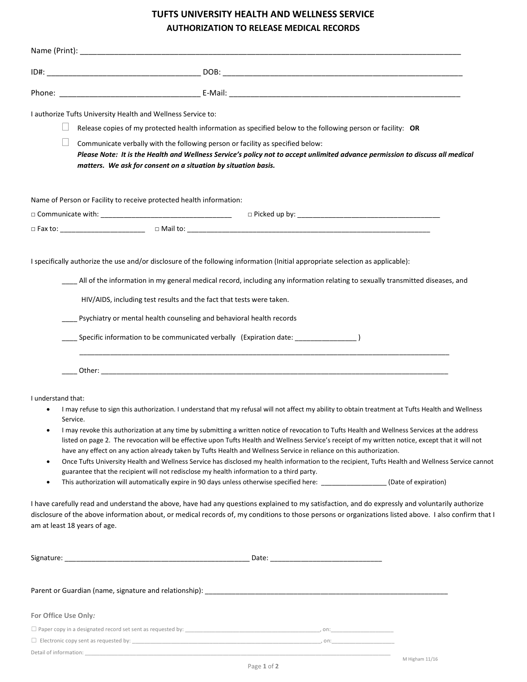## TUFTS UNIVERSITY HEALTH AND WELLNESS SERVICE AUTHORIZATION TO RELEASE MEDICAL RECORDS

| $\vert \ \ \vert$       | I authorize Tufts University Health and Wellness Service to:<br>Release copies of my protected health information as specified below to the following person or facility: OR<br>Communicate verbally with the following person or facility as specified below:<br>Please Note: It is the Health and Wellness Service's policy not to accept unlimited advance permission to discuss all medical<br>matters. We ask for consent on a situation by situation basis.                                                                                                                                                                                                                                                                                                                                                                                                                                                                                                                                                                                                                                                                                                                                                                                                                                                       |
|-------------------------|-------------------------------------------------------------------------------------------------------------------------------------------------------------------------------------------------------------------------------------------------------------------------------------------------------------------------------------------------------------------------------------------------------------------------------------------------------------------------------------------------------------------------------------------------------------------------------------------------------------------------------------------------------------------------------------------------------------------------------------------------------------------------------------------------------------------------------------------------------------------------------------------------------------------------------------------------------------------------------------------------------------------------------------------------------------------------------------------------------------------------------------------------------------------------------------------------------------------------------------------------------------------------------------------------------------------------|
|                         | Name of Person or Facility to receive protected health information:                                                                                                                                                                                                                                                                                                                                                                                                                                                                                                                                                                                                                                                                                                                                                                                                                                                                                                                                                                                                                                                                                                                                                                                                                                                     |
|                         |                                                                                                                                                                                                                                                                                                                                                                                                                                                                                                                                                                                                                                                                                                                                                                                                                                                                                                                                                                                                                                                                                                                                                                                                                                                                                                                         |
|                         | All of the information in my general medical record, including any information relating to sexually transmitted diseases, and<br>HIV/AIDS, including test results and the fact that tests were taken.<br>___ Psychiatry or mental health counseling and behavioral health records<br>Specific information to be communicated verbally (Expiration date: ______________                                                                                                                                                                                                                                                                                                                                                                                                                                                                                                                                                                                                                                                                                                                                                                                                                                                                                                                                                  |
| I understand that:<br>٠ | I may refuse to sign this authorization. I understand that my refusal will not affect my ability to obtain treatment at Tufts Health and Wellness<br>Service.<br>I may revoke this authorization at any time by submitting a written notice of revocation to Tufts Health and Wellness Services at the address<br>listed on page 2. The revocation will be effective upon Tufts Health and Wellness Service's receipt of my written notice, except that it will not<br>have any effect on any action already taken by Tufts Health and Wellness Service in reliance on this authorization.<br>Once Tufts University Health and Wellness Service has disclosed my health information to the recipient, Tufts Health and Wellness Service cannot<br>guarantee that the recipient will not redisclose my health information to a third party.<br>This authorization will automatically expire in 90 days unless otherwise specified here: ________________(Date of expiration)<br>I have carefully read and understand the above, have had any questions explained to my satisfaction, and do expressly and voluntarily authorize<br>disclosure of the above information about, or medical records of, my conditions to those persons or organizations listed above. I also confirm that I<br>am at least 18 years of age. |
|                         |                                                                                                                                                                                                                                                                                                                                                                                                                                                                                                                                                                                                                                                                                                                                                                                                                                                                                                                                                                                                                                                                                                                                                                                                                                                                                                                         |
|                         |                                                                                                                                                                                                                                                                                                                                                                                                                                                                                                                                                                                                                                                                                                                                                                                                                                                                                                                                                                                                                                                                                                                                                                                                                                                                                                                         |
| For Office Use Only:    |                                                                                                                                                                                                                                                                                                                                                                                                                                                                                                                                                                                                                                                                                                                                                                                                                                                                                                                                                                                                                                                                                                                                                                                                                                                                                                                         |
|                         |                                                                                                                                                                                                                                                                                                                                                                                                                                                                                                                                                                                                                                                                                                                                                                                                                                                                                                                                                                                                                                                                                                                                                                                                                                                                                                                         |
|                         |                                                                                                                                                                                                                                                                                                                                                                                                                                                                                                                                                                                                                                                                                                                                                                                                                                                                                                                                                                                                                                                                                                                                                                                                                                                                                                                         |

M Higham 11/16